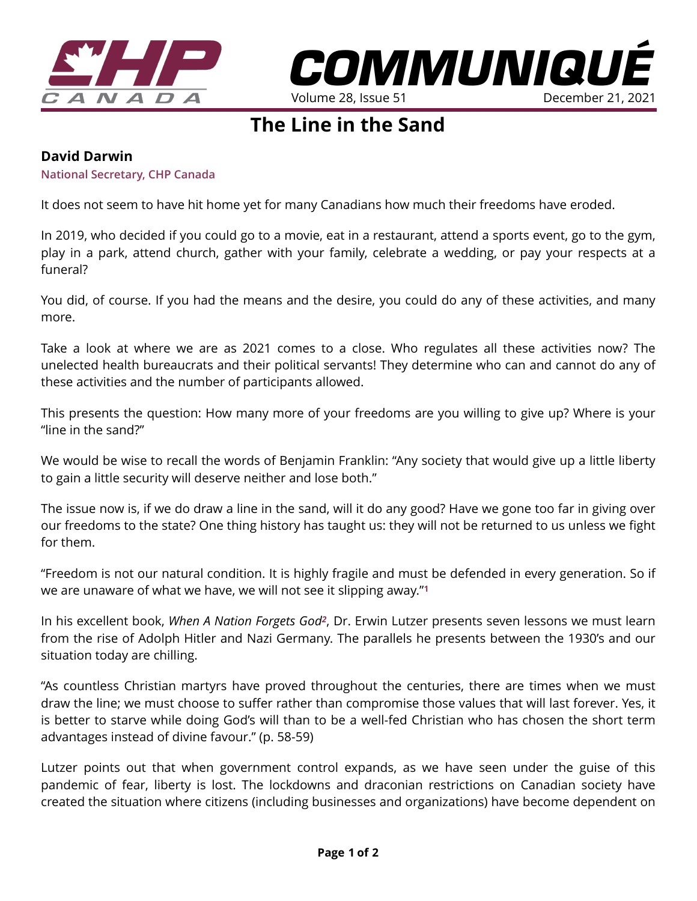



## **The Line in the Sand**

## **David Darwin**

**National Secretary, CHP Canada** 

It does not seem to have hit home yet for many Canadians how much their freedoms have eroded.

In 2019, who decided if you could go to a movie, eat in a restaurant, attend a sports event, go to the gym, play in a park, attend church, gather with your family, celebrate a wedding, or pay your respects at a funeral?

You did, of course. If you had the means and the desire, you could do any of these activities, and many more.

Take a look at where we are as 2021 comes to a close. Who regulates all these activities now? The unelected health bureaucrats and their political servants! They determine who can and cannot do any of these activities and the number of participants allowed.

This presents the question: How many more of your freedoms are you willing to give up? Where is your "line in the sand?"

We would be wise to recall the words of Benjamin Franklin: "Any society that would give up a little liberty to gain a little security will deserve neither and lose both."

The issue now is, if we do draw a line in the sand, will it do any good? Have we gone too far in giving over our freedoms to the state? One thing history has taught us: they will not be returned to us unless we fight for them.

"Freedom is not our natural condition. It is highly fragile and must be defended in every generation. So if we are unaware of what we have, we will not see it slipping away."**<sup>1</sup>**

In his excellent book, *When A Nation Forgets God2*, Dr. Erwin Lutzer presents seven lessons we must learn from the rise of Adolph Hitler and Nazi Germany. The parallels he presents between the 1930's and our situation today are chilling.

"As countless Christian martyrs have proved throughout the centuries, there are times when we must draw the line; we must choose to suffer rather than compromise those values that will last forever. Yes, it is better to starve while doing God's will than to be a well-fed Christian who has chosen the short term advantages instead of divine favour." (p. 58-59)

Lutzer points out that when government control expands, as we have seen under the guise of this pandemic of fear, liberty is lost. The lockdowns and draconian restrictions on Canadian society have created the situation where citizens (including businesses and organizations) have become dependent on